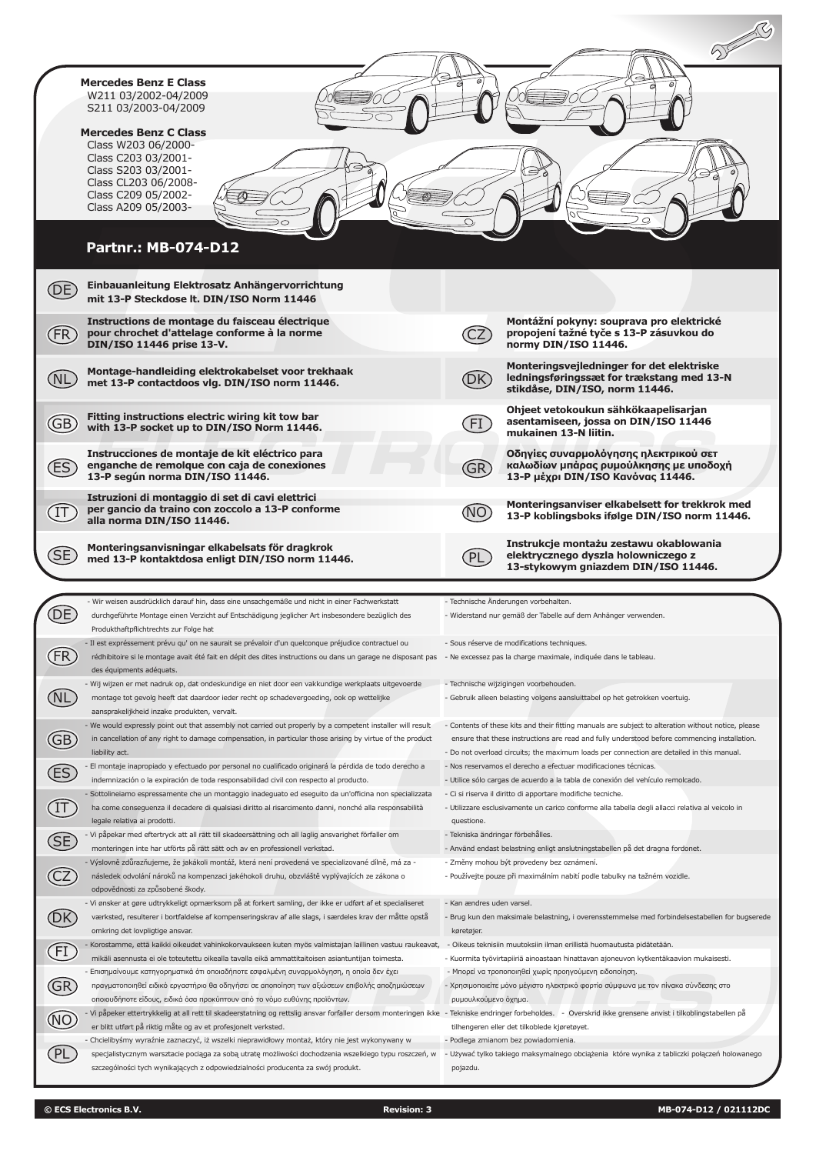|                       | <b>Mercedes Benz E Class</b><br>W211 03/2002-04/2009<br>S211 03/2003-04/2009                                                                                                                                                                                                                                                                              |                                         |                                                                                                                                                                                                                                                                                                  |
|-----------------------|-----------------------------------------------------------------------------------------------------------------------------------------------------------------------------------------------------------------------------------------------------------------------------------------------------------------------------------------------------------|-----------------------------------------|--------------------------------------------------------------------------------------------------------------------------------------------------------------------------------------------------------------------------------------------------------------------------------------------------|
|                       | <b>Mercedes Benz C Class</b><br>Class W203 06/2000-<br>Class C203 03/2001-<br>Class S203 03/2001-<br>Class CL203 06/2008-<br>Class C209 05/2002-<br>Class A209 05/2003-                                                                                                                                                                                   |                                         |                                                                                                                                                                                                                                                                                                  |
|                       | <b>Partnr.: MB-074-D12</b>                                                                                                                                                                                                                                                                                                                                |                                         |                                                                                                                                                                                                                                                                                                  |
| DE)                   | Einbauanleitung Elektrosatz Anhängervorrichtung<br>mit 13-P Steckdose lt. DIN/ISO Norm 11446                                                                                                                                                                                                                                                              |                                         |                                                                                                                                                                                                                                                                                                  |
| (FR)                  | Instructions de montage du faisceau électrique<br>pour chrochet d'attelage conforme à la norme<br>DIN/ISO 11446 prise 13-V.                                                                                                                                                                                                                               |                                         | Montážní pokyny: souprava pro elektrické<br>propojení tažné tyče s 13-P zásuvkou do<br>normy DIN/ISO 11446.                                                                                                                                                                                      |
| NL.                   | Montage-handleiding elektrokabelset voor trekhaak<br>met 13-P contactdoos vlg. DIN/ISO norm 11446.                                                                                                                                                                                                                                                        | (DK)                                    | Monteringsvejledninger for det elektriske<br>ledningsføringssæt for trækstang med 13-N<br>stikdåse, DIN/ISO, norm 11446.                                                                                                                                                                         |
| GB)                   | Fitting instructions electric wiring kit tow bar<br>with 13-P socket up to DIN/ISO Norm 11446.                                                                                                                                                                                                                                                            | FI                                      | Ohjeet vetokoukun sähkökaapelisarjan<br>asentamiseen, jossa on DIN/ISO 11446<br>mukainen 13-N liitin.                                                                                                                                                                                            |
| ΈS <sup>)</sup>       | Instrucciones de montaje de kit eléctrico para<br>enganche de remolque con caja de conexiones<br>13-P según norma DIN/ISO 11446.                                                                                                                                                                                                                          | GR)                                     | Οδηγίες συναρμολόγησης ηλεκτρικού σετ<br>καλωδίων μπάρας ρυμούλκησης με υποδοχή<br>13-Ρ μέχρι DIN/ISO Κανόνας 11446.                                                                                                                                                                             |
| . IT                  | Istruzioni di montaggio di set di cavi elettrici<br>per gancio da traino con zoccolo a 13-P conforme<br>alla norma DIN/ISO 11446.                                                                                                                                                                                                                         |                                         | Monteringsanviser elkabelsett for trekkrok med<br>13-P koblingsboks ifølge DIN/ISO norm 11446.                                                                                                                                                                                                   |
|                       | Monteringsanvisningar elkabelsats för dragkrok                                                                                                                                                                                                                                                                                                            |                                         | Instrukcje montażu zestawu okablowania                                                                                                                                                                                                                                                           |
| SE <sub>.</sub>       | med 13-P kontaktdosa enligt DIN/ISO norm 11446.                                                                                                                                                                                                                                                                                                           | . PL                                    | elektrycznego dyszla holowniczego z<br>13-stykowym gniazdem DIN/ISO 11446.                                                                                                                                                                                                                       |
|                       |                                                                                                                                                                                                                                                                                                                                                           |                                         |                                                                                                                                                                                                                                                                                                  |
|                       | - Wir weisen ausdrücklich darauf hin, dass eine unsachgemäße und nicht in einer Fachwerkstatt<br>durchgeführte Montage einen Verzicht auf Entschädigung jeglicher Art insbesondere bezüglich des                                                                                                                                                          |                                         | - Technische Änderungen vorbehalten.<br>- Widerstand nur gemäß der Tabelle auf dem Anhänger verwenden.                                                                                                                                                                                           |
|                       | Produkthaftpflichtrechts zur Folge hat<br>- Il est expréssement prévu qu' on ne saurait se prévaloir d'un quelconque préjudice contractuel ou<br>rédhibitoire si le montage avait été fait en dépit des dites instructions ou dans un garage ne disposant pas - Ne excessez pas la charge maximale, indiquée dans le tableau.<br>des équipments adéquats. |                                         | - Sous réserve de modifications techniques.                                                                                                                                                                                                                                                      |
| (NL                   | - Wij wijzen er met nadruk op, dat ondeskundige en niet door een vakkundige werkplaats uitgevoerde<br>montage tot gevolg heeft dat daardoor ieder recht op schadevergoeding, ook op wettelijke<br>aansprakelijkheid inzake produkten, vervalt.                                                                                                            |                                         | - Technische wijzigingen voorbehouden.<br>- Gebruik alleen belasting volgens aansluittabel op het getrokken voertuig.                                                                                                                                                                            |
| $\bigoplus$           | - We would expressly point out that assembly not carried out properly by a competent installer will result<br>in cancellation of any right to damage compensation, in particular those arising by virtue of the product<br>liability act.                                                                                                                 |                                         | - Contents of these kits and their fitting manuals are subject to alteration without notice, please<br>ensure that these instructions are read and fully understood before commencing installation.<br>- Do not overload circuits; the maximum loads per connection are detailed in this manual. |
|                       | El montaje inapropiado y efectuado por personal no cualificado originará la pérdida de todo derecho a                                                                                                                                                                                                                                                     |                                         | - Nos reservamos el derecho a efectuar modificaciones técnicas.                                                                                                                                                                                                                                  |
| ES                    | indemnización o la expiración de toda responsabilidad civil con respecto al producto.                                                                                                                                                                                                                                                                     |                                         | - Utilice sólo cargas de acuerdo a la tabla de conexión del vehículo remolcado.                                                                                                                                                                                                                  |
| $\bigoplus$           | Sottolineiamo espressamente che un montaggio inadeguato ed eseguito da un'officina non specializzata<br>ha come conseguenza il decadere di qualsiasi diritto al risarcimento danni, nonché alla responsabilità<br>legale relativa ai prodotti.                                                                                                            | questione.                              | - Ci si riserva il diritto di apportare modifiche tecniche.<br>- Utilizzare esclusivamente un carico conforme alla tabella degli allacci relativa al veicolo in                                                                                                                                  |
|                       | - Vi påpekar med eftertryck att all rätt till skadeersättning och all laglig ansvarighet förfaller om                                                                                                                                                                                                                                                     | - Tekniska ändringar förbehålles.       |                                                                                                                                                                                                                                                                                                  |
| <b>SE</b>             | monteringen inte har utförts på rätt sätt och av en professionell verkstad.                                                                                                                                                                                                                                                                               |                                         | - Använd endast belastning enligt anslutningstabellen på det dragna fordonet.                                                                                                                                                                                                                    |
| $\widehat{\text{CZ}}$ | - Výslovně zdůrazňujeme, že jakákoli montáž, která není provedená ve specializované dílně, má za -<br>následek odvolání nároků na kompenzaci jakéhokoli druhu, obzvláště vyplývajících ze zákona o<br>odpovědnosti za způsobené škody.                                                                                                                    |                                         | - Změny mohou být provedeny bez oznámení.<br>- Používejte pouze při maximálním nabití podle tabulky na tažném vozidle.                                                                                                                                                                           |
| DΚ                    | - Vi ønsker at gøre udtrykkeligt opmærksom på at forkert samling, der ikke er udført af et specialiseret<br>værksted, resulterer i bortfaldelse af kompenseringskrav af alle slags, i særdeles krav der måtte opstå<br>omkring det lovpligtige ansvar.                                                                                                    | - Kan ændres uden varsel.<br>køretøjer. | - Brug kun den maksimale belastning, i overensstemmelse med forbindelsestabellen for bugserede                                                                                                                                                                                                   |
|                       | Korostamme, että kaikki oikeudet vahinkokorvaukseen kuten myös valmistajan laillinen vastuu raukeavat,                                                                                                                                                                                                                                                    |                                         | - Oikeus teknisiin muutoksiin ilman erillistä huomautusta pidätetään.                                                                                                                                                                                                                            |
| $\bigoplus$           | mikäli asennusta ei ole toteutettu oikealla tavalla eikä ammattitaitoisen asiantuntijan toimesta.<br>- Επισημαίνουμε κατηγορηματικά ότι οποιαδήποτε εσφαλμένη συναρμολόγηση, η οποία δεν έχει                                                                                                                                                             |                                         | - Kuormita työvirtapiiriä ainoastaan hinattavan ajoneuvon kytkentäkaavion mukaisesti.<br>- Μπορεί να τροποποιηθεί χωρίς προηγούμενη ειδοποίηση.                                                                                                                                                  |
| GR                    | πραγματοποιηθεί ειδικό εργαστήριο θα οδηγήσει σε αποποίηση των αξιώσεων επιβολής αποζημιώσεων<br>οποιουδήποτε είδους, ειδικά όσα προκύπτουν από το νόμο ευθύνης προϊόντων.                                                                                                                                                                                | ρυμουλκούμενο όχημα.                    | - Χρησιμοποιείτε μόνο μέγιστο ηλεκτρικό φορτίο σύμφωνα με τον πίνακα σύνδεσης στο                                                                                                                                                                                                                |
| $\circledR$           | Vi påpeker ettertrykkelig at all rett til skadeerstatning og rettslig ansvar forfaller dersom monteringen ikke - Tekniske endringer forbeholdes. - Overskrid ikke grensene anvist i tilkoblingstabellen på<br>er blitt utført på riktig måte og av et profesjonelt verksted.                                                                              |                                         | tilhengeren eller det tilkoblede kjøretøyet.                                                                                                                                                                                                                                                     |
| PL                    | Chcielibyśmy wyraźnie zaznaczyć, iż wszelki nieprawidłowy montaż, który nie jest wykonywany w<br>specjalistycznym warsztacie pociąga za sobą utratę możliwości dochodzenia wszelkiego typu roszczeń, w                                                                                                                                                    |                                         | - Podlega zmianom bez powiadomienia.<br>- Używać tylko takiego maksymalnego obciążenia które wynika z tabliczki połączeń holowanego                                                                                                                                                              |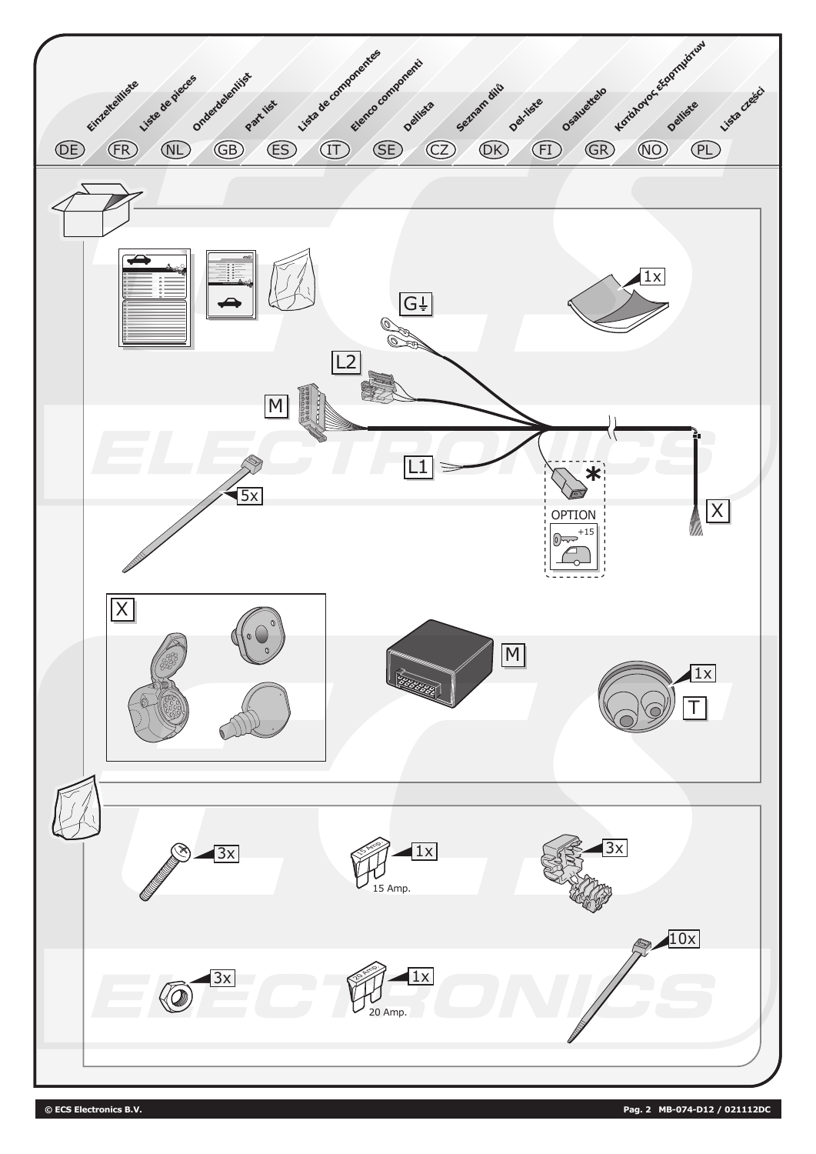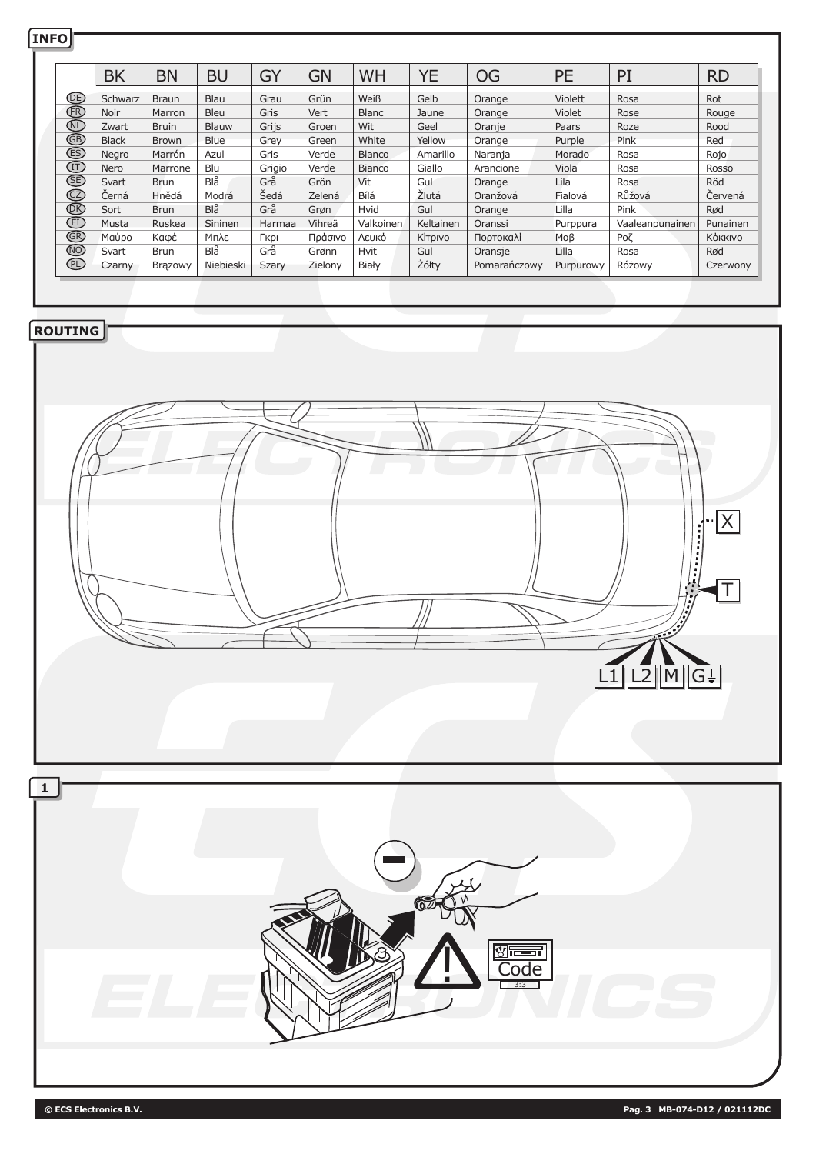|              |                | <b>BK</b>             | <b>BN</b>       | <b>BU</b>              | GY             | <b>GN</b>         | WH                 | <b>YE</b>            | <b>OG</b>            | PE                    | PI                     | <b>RD</b>           |
|--------------|----------------|-----------------------|-----------------|------------------------|----------------|-------------------|--------------------|----------------------|----------------------|-----------------------|------------------------|---------------------|
|              |                | Schwarz               | <b>Braun</b>    | Blau                   | Grau           | Grün              | Weiß               | Gelb                 | Orange               | Violett               | Rosa                   | Rot                 |
|              | 8699980999999  | Noir                  | Marron          | Bleu                   | Gris           | Vert              | <b>Blanc</b>       | Jaune                | Orange               | Violet                | Rose                   | Rouge               |
|              |                | Zwart                 | <b>Bruin</b>    | Blauw<br>Blue          | Grijs          | Groen             | Wit                | Geel                 | Oranje               | Paars                 | Roze                   | Rood                |
|              |                | <b>Black</b><br>Negro | Brown<br>Marrón | Azul                   | Grey<br>Gris   | Green<br>Verde    | White<br>Blanco    | Yellow<br>Amarillo   | Orange<br>Naranja    | Purple<br>Morado      | Pink<br>Rosa           | Red<br>Rojo         |
|              |                | Nero                  | Marrone         | Blu                    | Grigio         | Verde             | Bianco             | Giallo               | Arancione            | Viola                 | Rosa                   | Rosso               |
|              |                | Svart                 | <b>Brun</b>     | $Bl\overset{\circ}{a}$ | Grå            | Grön              | Vit                | Gul                  | Orange               | Lila                  | Rosa                   | Röd                 |
|              |                | Černá                 | Hnědá           | Modrá                  | Šedá           | Zelená            | Bílá               | Žlutá                | Oranžová             | Fialová               | Růžová                 | Červená             |
|              |                | Sort                  | Brun            | $Bl\overset{\circ}{a}$ | Grå            | Grøn              | Hvid               | Gul                  | Orange               | Lilla                 | Pink                   | Rød                 |
|              |                | Musta<br>Μαύρο        | Ruskea<br>Καφέ  | Sininen<br>Μπλε        | Harmaa<br>Гкрі | Vihreä<br>Πράσινο | Valkoinen<br>Λευκό | Keltainen<br>Κίτρινο | Oranssi<br>Πορτοκαλί | Purppura<br>$Mo\beta$ | Vaaleanpunainen<br>Рοζ | Punainen<br>Κόκκινο |
|              |                | Svart                 | Brun            | $Bl\overset{\circ}{a}$ | Grå            | Grønn             | Hvit               | Gul                  | Oransje              | Lilla                 | Rosa                   | Rød                 |
|              |                | Czarny                | Brązowy         | Niebieski              | Szary          | Zielony           | Biały              | Żółty                | Pomarańczowy         | Purpurowy             | Różowy                 | Czerwony            |
|              |                |                       |                 |                        |                |                   |                    |                      |                      |                       |                        |                     |
|              |                |                       |                 |                        |                |                   |                    |                      |                      |                       |                        |                     |
|              | <b>ROUTING</b> |                       |                 |                        |                |                   |                    |                      |                      |                       |                        |                     |
|              |                |                       |                 |                        |                |                   |                    |                      |                      |                       |                        |                     |
|              |                |                       |                 |                        |                |                   |                    |                      |                      |                       |                        |                     |
|              |                |                       |                 |                        |                |                   |                    |                      |                      |                       |                        |                     |
|              |                |                       |                 |                        |                |                   |                    |                      |                      |                       |                        |                     |
|              |                |                       |                 |                        |                |                   |                    |                      |                      |                       |                        |                     |
|              |                |                       |                 |                        |                |                   |                    |                      |                      |                       |                        |                     |
|              |                |                       |                 |                        |                |                   |                    |                      |                      |                       |                        |                     |
|              |                |                       |                 |                        |                |                   |                    |                      |                      |                       |                        |                     |
|              |                |                       |                 |                        |                |                   |                    |                      |                      |                       |                        |                     |
|              |                |                       |                 |                        |                |                   |                    |                      |                      |                       |                        |                     |
|              |                |                       |                 |                        |                |                   |                    |                      |                      |                       |                        |                     |
|              |                |                       |                 |                        |                |                   |                    |                      |                      |                       |                        |                     |
|              |                |                       |                 |                        |                |                   |                    |                      |                      |                       |                        |                     |
|              |                |                       |                 |                        |                |                   |                    |                      |                      |                       |                        |                     |
|              |                |                       |                 |                        |                |                   |                    |                      |                      |                       |                        |                     |
|              |                |                       |                 |                        |                |                   |                    |                      |                      |                       |                        |                     |
|              |                |                       |                 |                        |                |                   |                    |                      |                      |                       |                        |                     |
|              |                |                       |                 |                        |                |                   |                    |                      |                      |                       |                        |                     |
|              |                |                       |                 |                        |                |                   |                    |                      |                      |                       | 不                      |                     |
|              |                |                       |                 |                        |                |                   |                    |                      |                      |                       |                        |                     |
|              |                |                       |                 |                        |                |                   |                    |                      |                      |                       |                        |                     |
|              |                |                       |                 |                        |                |                   |                    |                      |                      |                       |                        |                     |
|              |                |                       |                 |                        |                |                   |                    |                      |                      |                       | MIGF                   |                     |
|              |                |                       |                 |                        |                |                   |                    |                      |                      |                       |                        |                     |
|              |                |                       |                 |                        |                |                   |                    |                      |                      |                       |                        |                     |
|              |                |                       |                 |                        |                |                   |                    |                      |                      |                       |                        |                     |
|              |                |                       |                 |                        |                |                   |                    |                      |                      |                       |                        |                     |
|              |                |                       |                 |                        |                |                   |                    |                      |                      |                       |                        |                     |
| $\mathbf{1}$ |                |                       |                 |                        |                |                   |                    |                      |                      |                       |                        |                     |
|              |                |                       |                 |                        |                |                   |                    |                      |                      |                       |                        |                     |
|              |                |                       |                 |                        |                |                   |                    |                      |                      |                       |                        |                     |
|              |                |                       |                 |                        |                |                   |                    |                      |                      |                       |                        |                     |
|              |                |                       |                 |                        |                |                   |                    |                      |                      |                       |                        |                     |
|              |                |                       |                 |                        |                |                   |                    |                      |                      |                       |                        |                     |
|              |                |                       |                 |                        |                |                   |                    |                      |                      |                       |                        |                     |
|              |                |                       |                 |                        |                |                   |                    |                      |                      |                       |                        |                     |
|              |                |                       |                 |                        |                |                   |                    |                      |                      |                       |                        |                     |
|              |                |                       |                 |                        |                |                   |                    |                      |                      |                       |                        |                     |
|              |                |                       |                 |                        |                |                   |                    |                      |                      |                       |                        |                     |
|              |                |                       |                 |                        |                |                   |                    |                      |                      |                       |                        |                     |
|              |                |                       |                 |                        |                |                   |                    |                      |                      |                       |                        |                     |
|              |                |                       |                 |                        |                |                   |                    |                      |                      |                       |                        |                     |
|              |                |                       |                 |                        |                |                   |                    |                      |                      |                       |                        |                     |
|              |                |                       |                 |                        |                |                   |                    |                      |                      |                       |                        |                     |
|              |                |                       |                 |                        |                |                   |                    |                      |                      |                       |                        |                     |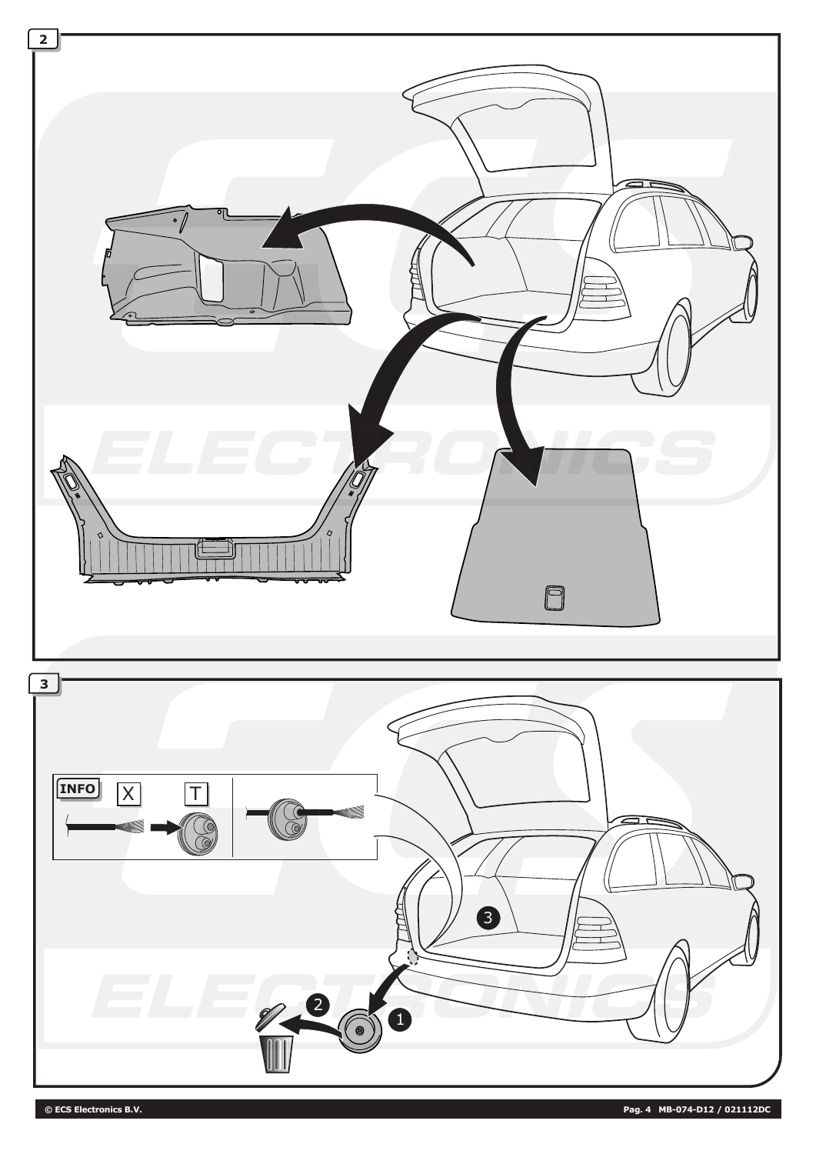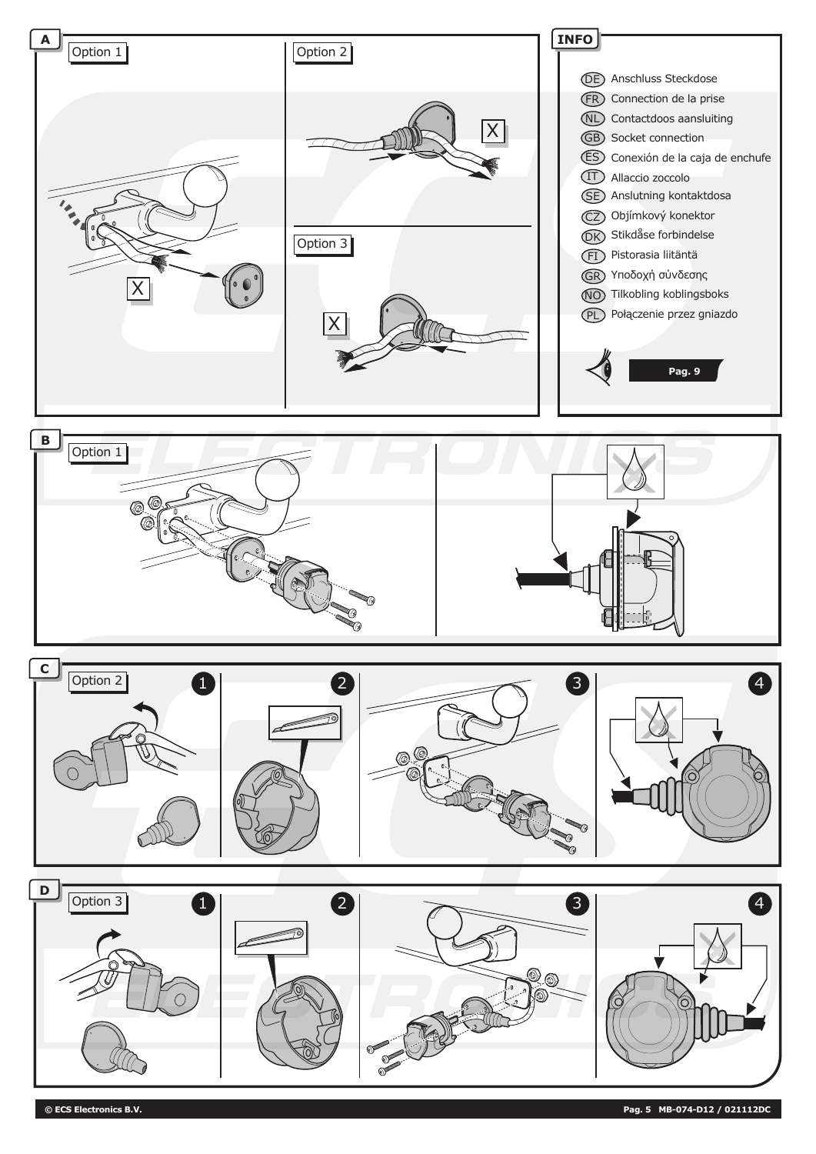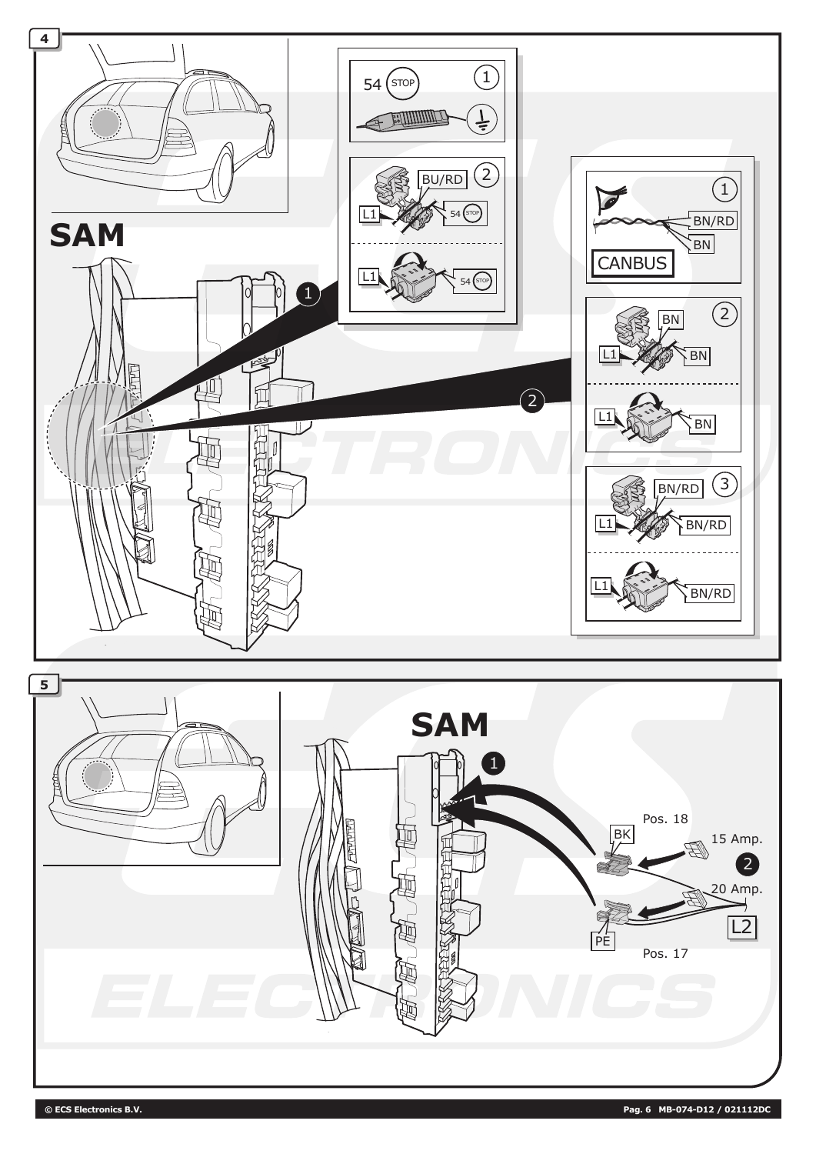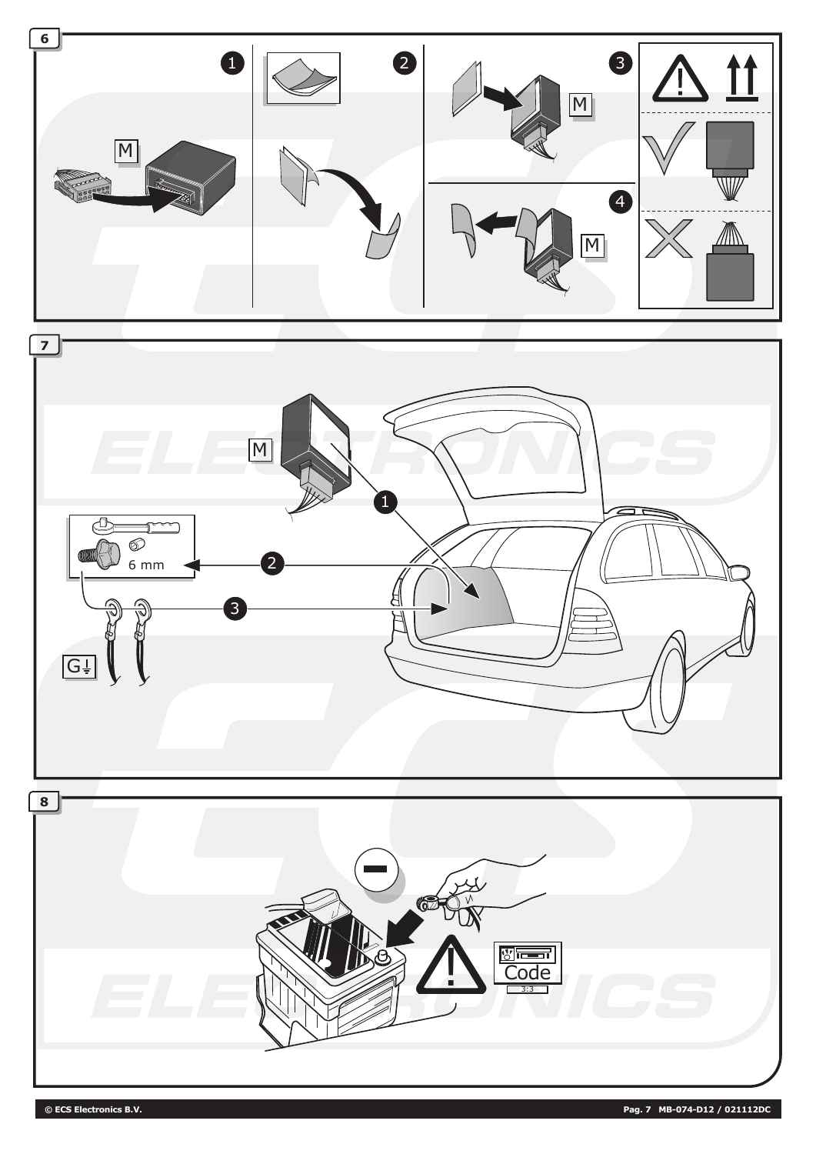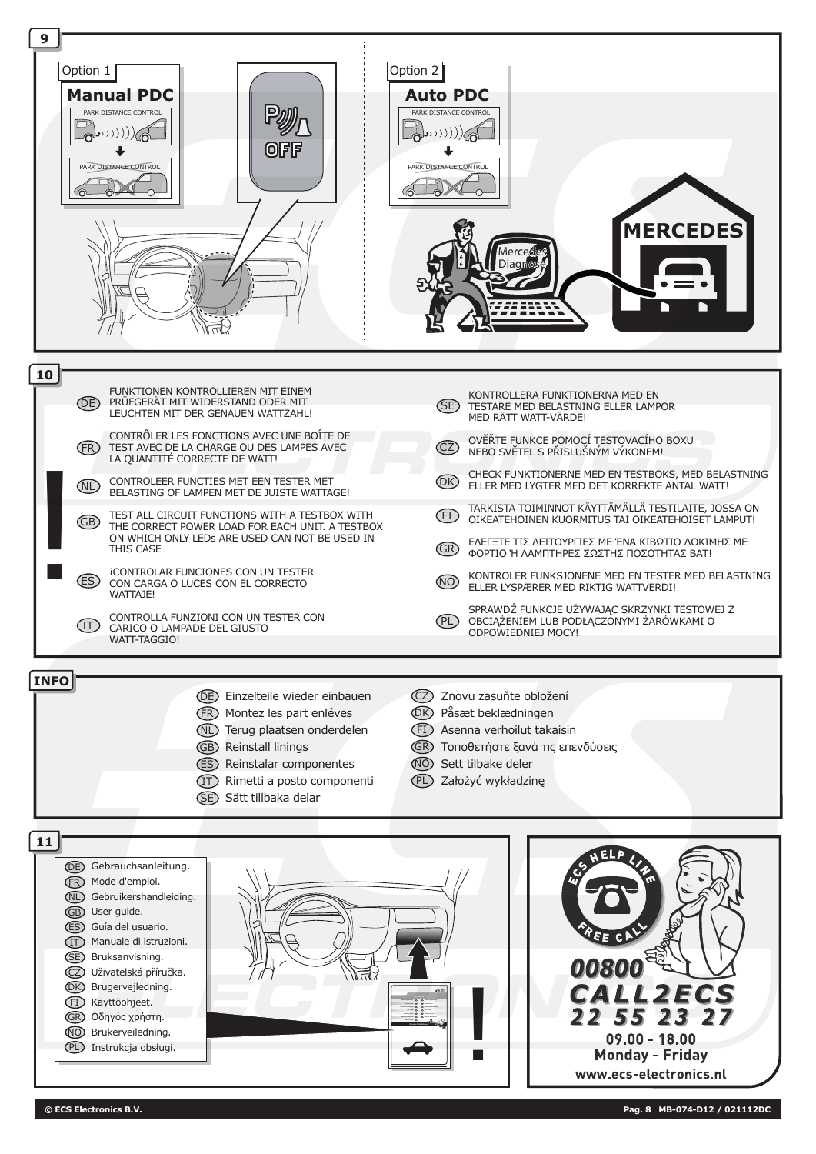

**Manuale di istruzioni Partner** 

CZ Uživatelská příručka. DK Brugervejledning. FI Käyttöohjeet. GR Οδηγός χρήστη. NO Brukerveiledning. PL Instrukcja obsługi.

**© ECS Electronics B.V. Pag. 8 MB-074-D12 / 021112DC**

 $09.00 - 18.00$ **Monday - Friday** www.ecs-electronics.nl